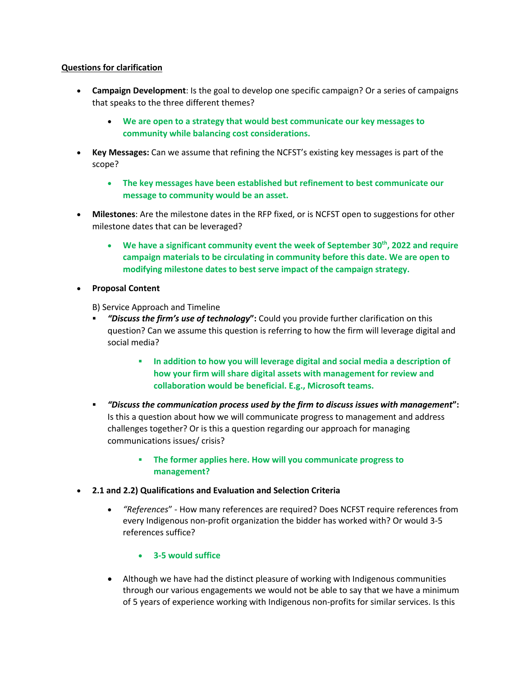## **Questions for clarification**

- **Campaign Development**: Is the goal to develop one specific campaign? Or a series of campaigns that speaks to the three different themes?
	- **We are open to a strategy that would best communicate our key messages to community while balancing cost considerations.**
- **Key Messages:** Can we assume that refining the NCFST's existing key messages is part of the scope?
	- **The key messages have been established but refinement to best communicate our message to community would be an asset.**
- **Milestones**: Are the milestone dates in the RFP fixed, or is NCFST open to suggestions for other milestone dates that can be leveraged?
	- **We have a significant community event the week of September 30th, 2022 and require campaign materials to be circulating in community before this date. We are open to modifying milestone dates to best serve impact of the campaign strategy.**
- **Proposal Content**
	- B) Service Approach and Timeline
	- § *"Discuss the firm's use of technology***":** Could you provide further clarification on this question? Can we assume this question is referring to how the firm will leverage digital and social media?
		- § **In addition to how you will leverage digital and social media a description of how your firm will share digital assets with management for review and collaboration would be beneficial. E.g., Microsoft teams.**
	- § *"Discuss the communication process used by the firm to discuss issues with management***":** Is this a question about how we will communicate progress to management and address challenges together? Or is this a question regarding our approach for managing communications issues/ crisis?
		- § **The former applies here. How will you communicate progress to management?**
- **2.1 and 2.2) Qualifications and Evaluation and Selection Criteria**
	- *"References*" How many references are required? Does NCFST require references from every Indigenous non-profit organization the bidder has worked with? Or would 3-5 references suffice?
		- **3-5 would suffice**
	- Although we have had the distinct pleasure of working with Indigenous communities through our various engagements we would not be able to say that we have a minimum of 5 years of experience working with Indigenous non-profits for similar services. Is this